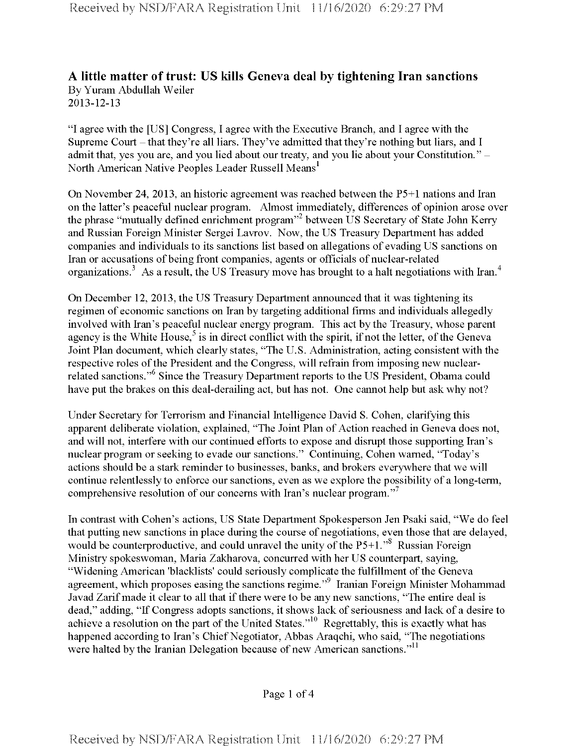## **A little matter oftrust: US kills Geneva deal by tightening Iran sanctions** By Yuram Abdullah Weiler 2013-12-13

"I agree with the [US] Congress, I agree with the Executive Branch, and I agree with the Supreme Court – that they're all liars. They've admitted that they're nothing but liars, and I admit that, yes you are, and you lied about our treaty, and you lie about your Constitution." -North American Native Peoples Leader Russell Means<sup>1</sup>

On November 24, 2013, an historic agreement was reached between the P5+1 nations and Iran on the latter's peaceful nuclear program. Almost immediately, differences of opinion arose over the phrase "mutually defined enrichment program"<sup>2</sup> between US Secretary of State John Kerry and Russian Foreign Minister Sergei Lavrov. Now, the US Treasury Department has added companies and individuals to its sanctions list based on allegations of evading US sanctions on Iran or accusations of being front companies, agents or officials of nuclear-related organizations.<sup>3</sup> As a result, the US Treasury move has brought to a halt negotiations with Iran.<sup>4</sup>

On December 12, 2013, the US Treasury Department announced that it was tightening its regimen of economic sanctions on Iran by targeting additional firms and individuals allegedly involved with Iran's peaceful nuclear energy program. This act by the Treasury, whose parent agency is the White House,<sup>5</sup> is in direct conflict with the spirit, if not the letter, of the Geneva Joint Plan document, which clearly states, "The U.S. Administration, acting consistent with the respective roles of the President and the Congress, will refrain from imposing new nuclearrelated sanctions."6 Since the Treasury Department reports to the US President, Obama could have put the brakes on this deal-derailing act, but has not. One cannot help but ask why not?

Under Secretary for Terrorism and Financial Intelligence David S. Cohen, clarifying this apparent deliberate violation, explained, "The Joint Plan of Action reached in Geneva does not, and will not, interfere with our continued efforts to expose and disrupt those supporting Iran's nuclear program or seeking to evade our sanctions." Continuing, Cohen warned, "Today's actions should be a stark reminder to businesses, banks, and brokers everywhere that we will continue relentlessly to enforce our sanctions, even as we explore the possibility of a long-term, comprehensive resolution of our concerns with Iran's nuclear program."

In contrast with Cohen's actions, US State Department Spokesperson Jen Psaki said, "We do feel that putting new sanctions in place during the course of negotiations, even those that are delayed, would be counterproductive, and could unravel the unity of the  $P5+1.^{8}$ . Russian Foreign Ministry spokeswoman, Maria Zakharova, concurred with her US counterpart, saying, "Widening American 'blacklists' could seriously complicate the fulfillment of the Geneva agreement, which proposes easing the sanctions regime."<sup>9</sup> Iranian Foreign Minister Mohammad Javad Zarif made it clear to all that if there were to be any new sanctions, "The entire deal is dead," adding, "If Congress adopts sanctions, it shows lack of seriousness and lack of a desire to achieve a resolution on the part of the United States."<sup>10</sup> Regrettably, this is exactly what has happened according to Iran's Chief Negotiator, Abbas Araqchi, who said, "The negotiations were halted by the Iranian Delegation because of new American sanctions."<sup>11</sup>

Page <sup>1</sup> of 4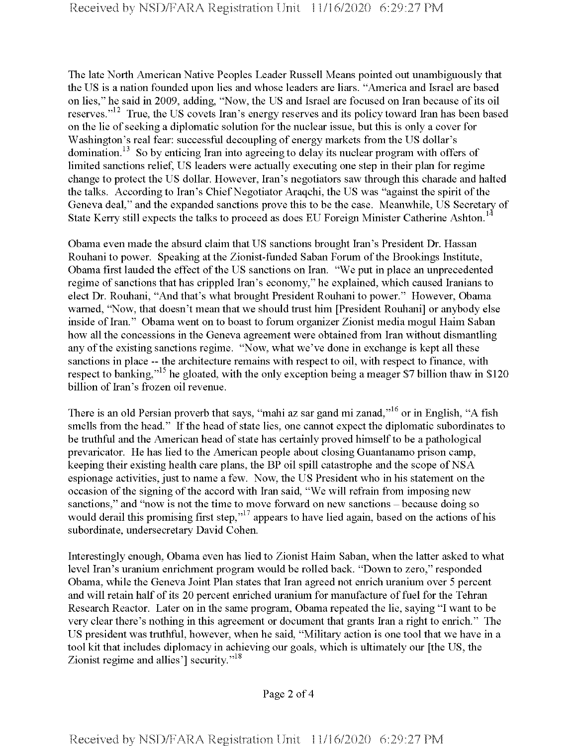The late North American Native Peoples Leader Russell Means pointed out unambiguously that the US is a nation founded upon lies and whose leaders are liars. "America and Israel are based on lies," he said in 2009, adding, "Now, the US and Israel are focused on Iran because of its oil reserves."<sup>12</sup> True, the US covets Iran's energy reserves and its policy toward Iran has been based on the lie of seeking a diplomatic solution for the nuclear issue, but this is only a cover for Washington's real fear: successful decoupling of energy markets from the US dollar's domination.<sup>13</sup> So by enticing Iran into agreeing to delay its nuclear program with offers of limited sanctions relief, US leaders were actually executing one step in their plan for regime change to protect the US dollar. However, Iran's negotiators saw through this charade and halted the talks. According to Iran's Chief Negotiator Araqchi, the US was "against the spirit of the Geneva deal," and the expanded sanctions prove this to be the case. Meanwhile, US Secretary of State Kerry still expects the talks to proceed as does EU Foreign Minister Catherine Ashton.<sup>14</sup>

Obama even made the absurd claim that US sanctions brought Iran's President Dr. Hassan Rouhani to power. Speaking at the Zionist-funded Saban Forum of the Brookings Institute, Obama first lauded the effect of the US sanctions on Iran. "We put in place an unprecedented regime of sanctions that has crippled Iran's economy," he explained, which caused Iranians to elect Dr. Rouhani, "And that's what brought President Rouhani to power." However, Obama warned, "Now, that doesn't mean that we should trust him [President Rouhani] or anybody else inside of Iran." Obama went on to boast to forum organizer Zionist media mogul Haim Saban how all the concessions in the Geneva agreement were obtained from Iran without dismantling any of the existing sanctions regime. "Now, what we've done in exchange is kept all these sanctions in place -- the architecture remains with respect to oil, with respect to finance, with respect to banking,"<sup>15</sup> he gloated, with the only exception being a meager \$7 billion thaw in \$120 billion of Iran's frozen oil revenue.

There is an old Persian proverb that says, "mahi az sar gand mi zanad,"16 or in English, "A fish smells from the head." If the head of state lies, one cannot expect the diplomatic subordinates to be truthful and the American head of state has certainly proved himself to be a pathological prevaricator. He has lied to the American people about closing Guantanamo prison camp, keeping their existing health care plans, the BP oil spill catastrophe and the scope of NSA espionage activities, just to name a few. Now, the US President who in his statement on the occasion of the signing of the accord with Iran said, "We will refrain from imposing new sanctions," and "now is not the time to move forward on new sanctions - because doing so would derail this promising first step,"<sup>17</sup> appears to have lied again, based on the actions of his subordinate, undersecretary David Cohen.

Interestingly enough, Obama even has lied to Zionist Haim Saban, when the latter asked to what level Iran's uranium enrichment program would be rolled back. "Down to zero," responded Obama, while the Geneva Joint Plan states that Iran agreed not enrich uranium over 5 percent and will retain half of its 20 percent enriched uranium for manufacture of fuel for the Tehran Research Reactor. Later on in the same program, Obama repeated the lie, saying "I want to be very clear there's nothing in this agreement or document that grants Iran a right to enrich." The US president was truthful, however, when he said, "Military action is one tool that we have in a tool kit that includes diplomacy in achieving our goals, which is ultimately our [the US, the Zionist regime and allies'] security."<sup>18</sup>

Page 2 of 4

**Received by NSD/FARA Registration Unit 11/16/2020 6:29:27 PM**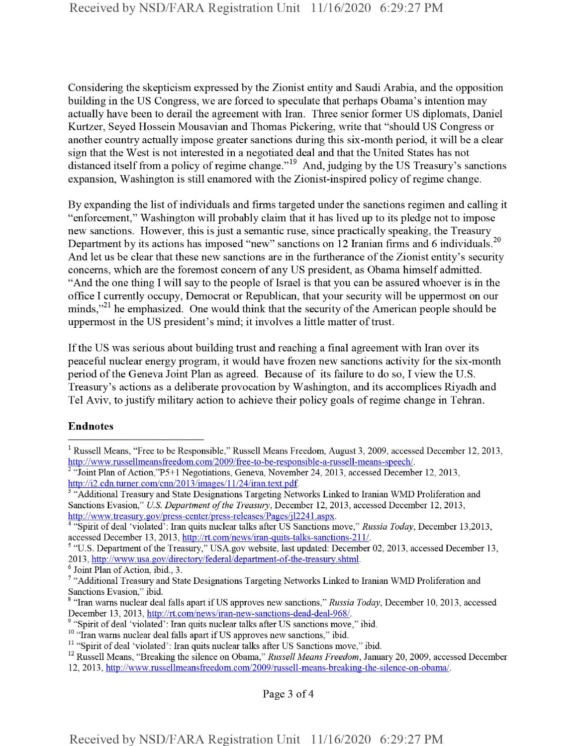Considering the skepticism expressed by the Zionist entity and Saudi Arabia, and the opposition building in the US Congress, we are forced to speculate that perhaps Obama's intention may actually have been to derail the agreement with Iran. Three senior former US diplomats, Daniel Kurtzer, Seyed Hossein Mousavian and Thomas Pickering, write that "should US Congress or another country actually impose greater sanctions during this six-month period, it will be a clear sign that the West is not interested in a negotiated deal and that the United States has not distanced itself from a policy of regime change."<sup>19</sup> And, judging by the US Treasury's sanctions expansion, Washington is still enamored with the Zionist-inspired policy of regime change.

By expanding the list of individuals and firms targeted under the sanctions regimen and calling it "enforcement," Washington will probably claim that it has lived up to its pledge not to impose new sanctions. However, this is just a semantic ruse, since practically speaking, the Treasury Department by its actions has imposed "new" sanctions on 12 Iranian firms and 6 individuals.<sup>20</sup> And let us be clear that these new sanctions are in the furtherance of the Zionist entity's security concerns, which are the foremost concern of any US president, as Obama himself admitted. "And the one thing I will say to the people of Israel is that you can be assured whoever is in the office I currently occupy, Democrat or Republican, that your security will be uppermost on our minds,"<sup>21</sup> he emphasized. One would think that the security of the American people should be uppermost in the US president's mind; it involves a little matter of trust.

Ifthe US was serious about building trust and reaching a final agreement with Iran over its peaceful nuclear energy program, it would have frozen new sanctions activity for the six-month period ofthe Geneva Joint Plan as agreed. Because of its failure to do so, I view the U.S. Treasury's actions as a deliberate provocation by Washington, and its accomplices Riyadh and Tel Aviv, to justify military action to achieve their policy goals ofregime change in Tehran.

## Endnotes

<sup>4</sup> "Spirit of deal 'violated': Iran quits nuclear talks after US Sanctions move," *Russia Today,* December 13,2013, accessed December 13, 2013, http://rt.com/news/iran-quits-talks-sanctions-211/.

<sup>5</sup> "U.S. Department of the Treasury," USA.gov website, last updated: December 02, 2013, accessed December 13, 2013, http://www.usa.gov/directorv/federal/department-of-the-treasurv.shtml.

<sup>6</sup> Joint Plan of Action, ibid., 3.

<sup>9</sup> "Spirit of deal 'violated': Iran quits nuclear talks after US sanctions move," ibid.

Page 3 of 4

<sup>&</sup>lt;sup>1</sup> Russell Means, "Free to be Responsible," Russell Means Freedom, August 3, 2009, accessed December 12, 2013, http://www.russellmeansfreedom.com/2009/free-to-be-responsible-a-russell-means-speech/.

<sup>&</sup>quot;Joint Plan of Action,"P5+1 Negotiations, Geneva, November 24, 2013, accessed December 12, 2013, http://i2.cdn.turner.com/cnn/2013/images/11/24/iran.text.pdf.

<sup>&</sup>lt;sup>3</sup> "Additional Treasury and State Designations Targeting Networks Linked to Iranian WMD Proliferation and Sanctions Evasion," *U.S. Department of the Treasury*, December 12, 2013, accessed December 12, 2013, http://www.treasurv.gov/press-center/press-releases/Pages/il2241.aspx.

<sup>7</sup> "Additional Treasury and State Designations Targeting Networks Linked to Iranian WMD Proliferation and Sanctions Evasion," ibid.

<sup>&</sup>lt;sup>8</sup> "Iran warns nuclear deal falls apart if US approves new sanctions," Russia Today, December 10, 2013, accessed December 13, 2013, http://rt.com/news/iran-new-sanctions-dead-deal-968/.

<sup>&</sup>lt;sup>10</sup> "Iran warns nuclear deal falls apart if US approves new sanctions," ibid.

<sup>&</sup>lt;sup>11</sup> "Spirit of deal 'violated': Iran quits nuclear talks after US Sanctions move," ibid.

<sup>12</sup> Russell Means, "Breaking the silence on Obama," *Russell Means Freedom,* January 20, 2009, accessed December 12, 2013, http://www.russellmeansfreedom.com/2009/russell-means-breaking-the-silence-on-obama/.